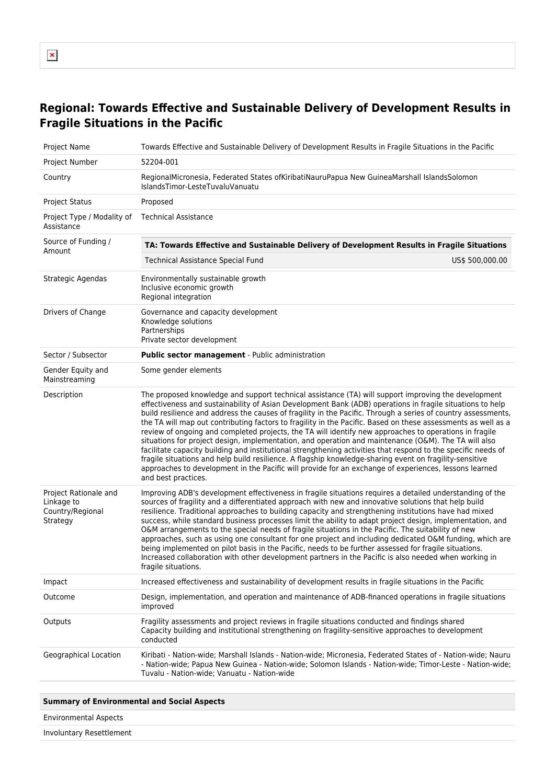## **Regional: Towards Effective and Sustainable Delivery of Development Results in Fragile Situations in the Pacific**

| Project Name                                                        | Towards Effective and Sustainable Delivery of Development Results in Fragile Situations in the Pacific                                                                                                                                                                                                                                                                                                                                                                                                                                                                                                                                                                                                                                                                                                                                                                                                                                                                                                                           |  |
|---------------------------------------------------------------------|----------------------------------------------------------------------------------------------------------------------------------------------------------------------------------------------------------------------------------------------------------------------------------------------------------------------------------------------------------------------------------------------------------------------------------------------------------------------------------------------------------------------------------------------------------------------------------------------------------------------------------------------------------------------------------------------------------------------------------------------------------------------------------------------------------------------------------------------------------------------------------------------------------------------------------------------------------------------------------------------------------------------------------|--|
| Project Number                                                      | 52204-001                                                                                                                                                                                                                                                                                                                                                                                                                                                                                                                                                                                                                                                                                                                                                                                                                                                                                                                                                                                                                        |  |
| Country                                                             | RegionalMicronesia, Federated States ofKiribatiNauruPapua New GuineaMarshall IslandsSolomon<br>IslandsTimor-LesteTuvaluVanuatu                                                                                                                                                                                                                                                                                                                                                                                                                                                                                                                                                                                                                                                                                                                                                                                                                                                                                                   |  |
| <b>Project Status</b>                                               | Proposed                                                                                                                                                                                                                                                                                                                                                                                                                                                                                                                                                                                                                                                                                                                                                                                                                                                                                                                                                                                                                         |  |
| Project Type / Modality of<br>Assistance                            | <b>Technical Assistance</b>                                                                                                                                                                                                                                                                                                                                                                                                                                                                                                                                                                                                                                                                                                                                                                                                                                                                                                                                                                                                      |  |
| Source of Funding /<br>Amount                                       | TA: Towards Effective and Sustainable Delivery of Development Results in Fragile Situations                                                                                                                                                                                                                                                                                                                                                                                                                                                                                                                                                                                                                                                                                                                                                                                                                                                                                                                                      |  |
|                                                                     | US\$ 500,000.00<br>Technical Assistance Special Fund                                                                                                                                                                                                                                                                                                                                                                                                                                                                                                                                                                                                                                                                                                                                                                                                                                                                                                                                                                             |  |
| Strategic Agendas                                                   | Environmentally sustainable growth<br>Inclusive economic growth<br>Regional integration                                                                                                                                                                                                                                                                                                                                                                                                                                                                                                                                                                                                                                                                                                                                                                                                                                                                                                                                          |  |
| Drivers of Change                                                   | Governance and capacity development<br>Knowledge solutions<br>Partnerships<br>Private sector development                                                                                                                                                                                                                                                                                                                                                                                                                                                                                                                                                                                                                                                                                                                                                                                                                                                                                                                         |  |
| Sector / Subsector                                                  | Public sector management - Public administration                                                                                                                                                                                                                                                                                                                                                                                                                                                                                                                                                                                                                                                                                                                                                                                                                                                                                                                                                                                 |  |
| Gender Equity and<br>Mainstreaming                                  | Some gender elements                                                                                                                                                                                                                                                                                                                                                                                                                                                                                                                                                                                                                                                                                                                                                                                                                                                                                                                                                                                                             |  |
| Description                                                         | The proposed knowledge and support technical assistance (TA) will support improving the development<br>effectiveness and sustainability of Asian Development Bank (ADB) operations in fragile situations to help<br>build resilience and address the causes of fragility in the Pacific. Through a series of country assessments,<br>the TA will map out contributing factors to fragility in the Pacific. Based on these assessments as well as a<br>review of ongoing and completed projects, the TA will identify new approaches to operations in fragile<br>situations for project design, implementation, and operation and maintenance (O&M). The TA will also<br>facilitate capacity building and institutional strengthening activities that respond to the specific needs of<br>fragile situations and help build resilience. A flagship knowledge-sharing event on fragility-sensitive<br>approaches to development in the Pacific will provide for an exchange of experiences, lessons learned<br>and best practices. |  |
| Project Rationale and<br>Linkage to<br>Country/Regional<br>Strategy | Improving ADB's development effectiveness in fragile situations requires a detailed understanding of the<br>sources of fragility and a differentiated approach with new and innovative solutions that help build<br>resilience. Traditional approaches to building capacity and strengthening institutions have had mixed<br>success, while standard business processes limit the ability to adapt project design, implementation, and<br>O&M arrangements to the special needs of fragile situations in the Pacific. The suitability of new<br>approaches, such as using one consultant for one project and including dedicated O&M funding, which are<br>being implemented on pilot basis in the Pacific, needs to be further assessed for fragile situations.<br>Increased collaboration with other development partners in the Pacific is also needed when working in<br>fragile situations.                                                                                                                                 |  |
| Impact                                                              | Increased effectiveness and sustainability of development results in fragile situations in the Pacific                                                                                                                                                                                                                                                                                                                                                                                                                                                                                                                                                                                                                                                                                                                                                                                                                                                                                                                           |  |
| Outcome                                                             | Design, implementation, and operation and maintenance of ADB-financed operations in fragile situations<br>improved                                                                                                                                                                                                                                                                                                                                                                                                                                                                                                                                                                                                                                                                                                                                                                                                                                                                                                               |  |
| Outputs                                                             | Fragility assessments and project reviews in fragile situations conducted and findings shared<br>Capacity building and institutional strengthening on fragility-sensitive approaches to development<br>conducted                                                                                                                                                                                                                                                                                                                                                                                                                                                                                                                                                                                                                                                                                                                                                                                                                 |  |
| Geographical Location                                               | Kiribati - Nation-wide; Marshall Islands - Nation-wide; Micronesia, Federated States of - Nation-wide; Nauru<br>- Nation-wide; Papua New Guinea - Nation-wide; Solomon Islands - Nation-wide; Timor-Leste - Nation-wide;<br>Tuvalu - Nation-wide; Vanuatu - Nation-wide                                                                                                                                                                                                                                                                                                                                                                                                                                                                                                                                                                                                                                                                                                                                                          |  |
|                                                                     |                                                                                                                                                                                                                                                                                                                                                                                                                                                                                                                                                                                                                                                                                                                                                                                                                                                                                                                                                                                                                                  |  |

## **Summary of Environmental and Social Aspects**

Environmental Aspects

Involuntary Resettlement